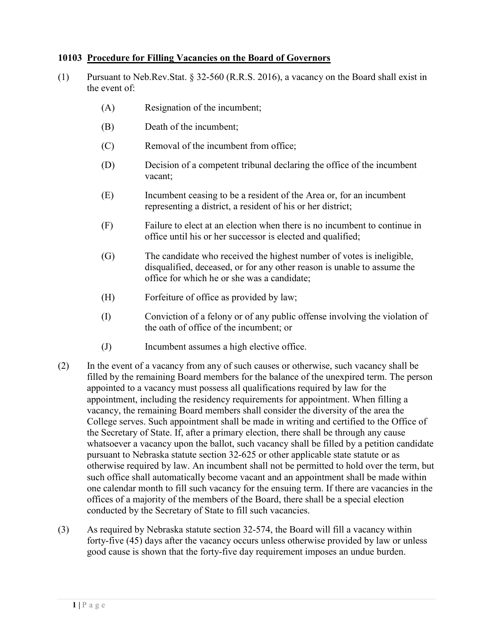## **10103 Procedure for Filling Vacancies on the Board of Governors**

- (1) Pursuant to Neb.Rev.Stat. § 32-560 (R.R.S. 2016), a vacancy on the Board shall exist in the event of:
	- (A) Resignation of the incumbent;
	- (B) Death of the incumbent;
	- (C) Removal of the incumbent from office;
	- (D) Decision of a competent tribunal declaring the office of the incumbent vacant;
	- (E) Incumbent ceasing to be a resident of the Area or, for an incumbent representing a district, a resident of his or her district;
	- (F) Failure to elect at an election when there is no incumbent to continue in office until his or her successor is elected and qualified;
	- (G) The candidate who received the highest number of votes is ineligible, disqualified, deceased, or for any other reason is unable to assume the office for which he or she was a candidate;
	- (H) Forfeiture of office as provided by law;
	- (I) Conviction of a felony or of any public offense involving the violation of the oath of office of the incumbent; or
	- (J) Incumbent assumes a high elective office.
- (2) In the event of a vacancy from any of such causes or otherwise, such vacancy shall be filled by the remaining Board members for the balance of the unexpired term. The person appointed to a vacancy must possess all qualifications required by law for the appointment, including the residency requirements for appointment. When filling a vacancy, the remaining Board members shall consider the diversity of the area the College serves. Such appointment shall be made in writing and certified to the Office of the Secretary of State. If, after a primary election, there shall be through any cause whatsoever a vacancy upon the ballot, such vacancy shall be filled by a petition candidate pursuant to Nebraska statute section 32-625 or other applicable state statute or as otherwise required by law. An incumbent shall not be permitted to hold over the term, but such office shall automatically become vacant and an appointment shall be made within one calendar month to fill such vacancy for the ensuing term. If there are vacancies in the offices of a majority of the members of the Board, there shall be a special election conducted by the Secretary of State to fill such vacancies.
- (3) As required by Nebraska statute section 32-574, the Board will fill a vacancy within forty-five (45) days after the vacancy occurs unless otherwise provided by law or unless good cause is shown that the forty-five day requirement imposes an undue burden.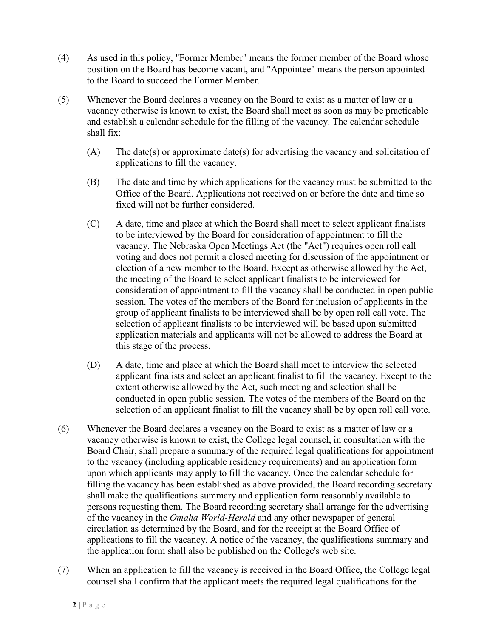- (4) As used in this policy, "Former Member" means the former member of the Board whose position on the Board has become vacant, and "Appointee" means the person appointed to the Board to succeed the Former Member.
- (5) Whenever the Board declares a vacancy on the Board to exist as a matter of law or a vacancy otherwise is known to exist, the Board shall meet as soon as may be practicable and establish a calendar schedule for the filling of the vacancy. The calendar schedule shall fix:
	- (A) The date(s) or approximate date(s) for advertising the vacancy and solicitation of applications to fill the vacancy.
	- (B) The date and time by which applications for the vacancy must be submitted to the Office of the Board. Applications not received on or before the date and time so fixed will not be further considered.
	- (C) A date, time and place at which the Board shall meet to select applicant finalists to be interviewed by the Board for consideration of appointment to fill the vacancy. The Nebraska Open Meetings Act (the "Act") requires open roll call voting and does not permit a closed meeting for discussion of the appointment or election of a new member to the Board. Except as otherwise allowed by the Act, the meeting of the Board to select applicant finalists to be interviewed for consideration of appointment to fill the vacancy shall be conducted in open public session. The votes of the members of the Board for inclusion of applicants in the group of applicant finalists to be interviewed shall be by open roll call vote. The selection of applicant finalists to be interviewed will be based upon submitted application materials and applicants will not be allowed to address the Board at this stage of the process.
	- (D) A date, time and place at which the Board shall meet to interview the selected applicant finalists and select an applicant finalist to fill the vacancy. Except to the extent otherwise allowed by the Act, such meeting and selection shall be conducted in open public session. The votes of the members of the Board on the selection of an applicant finalist to fill the vacancy shall be by open roll call vote.
- (6) Whenever the Board declares a vacancy on the Board to exist as a matter of law or a vacancy otherwise is known to exist, the College legal counsel, in consultation with the Board Chair, shall prepare a summary of the required legal qualifications for appointment to the vacancy (including applicable residency requirements) and an application form upon which applicants may apply to fill the vacancy. Once the calendar schedule for filling the vacancy has been established as above provided, the Board recording secretary shall make the qualifications summary and application form reasonably available to persons requesting them. The Board recording secretary shall arrange for the advertising of the vacancy in the *Omaha World-Herald* and any other newspaper of general circulation as determined by the Board, and for the receipt at the Board Office of applications to fill the vacancy. A notice of the vacancy, the qualifications summary and the application form shall also be published on the College's web site.
- (7) When an application to fill the vacancy is received in the Board Office, the College legal counsel shall confirm that the applicant meets the required legal qualifications for the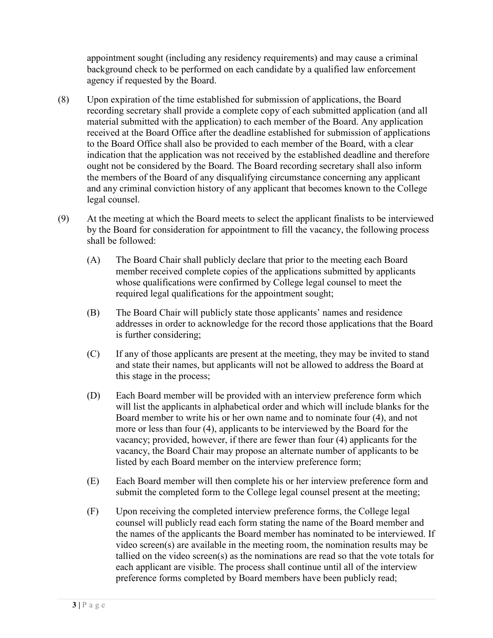appointment sought (including any residency requirements) and may cause a criminal background check to be performed on each candidate by a qualified law enforcement agency if requested by the Board.

- (8) Upon expiration of the time established for submission of applications, the Board recording secretary shall provide a complete copy of each submitted application (and all material submitted with the application) to each member of the Board. Any application received at the Board Office after the deadline established for submission of applications to the Board Office shall also be provided to each member of the Board, with a clear indication that the application was not received by the established deadline and therefore ought not be considered by the Board. The Board recording secretary shall also inform the members of the Board of any disqualifying circumstance concerning any applicant and any criminal conviction history of any applicant that becomes known to the College legal counsel.
- (9) At the meeting at which the Board meets to select the applicant finalists to be interviewed by the Board for consideration for appointment to fill the vacancy, the following process shall be followed:
	- (A) The Board Chair shall publicly declare that prior to the meeting each Board member received complete copies of the applications submitted by applicants whose qualifications were confirmed by College legal counsel to meet the required legal qualifications for the appointment sought;
	- (B) The Board Chair will publicly state those applicants' names and residence addresses in order to acknowledge for the record those applications that the Board is further considering;
	- (C) If any of those applicants are present at the meeting, they may be invited to stand and state their names, but applicants will not be allowed to address the Board at this stage in the process;
	- (D) Each Board member will be provided with an interview preference form which will list the applicants in alphabetical order and which will include blanks for the Board member to write his or her own name and to nominate four (4), and not more or less than four (4), applicants to be interviewed by the Board for the vacancy; provided, however, if there are fewer than four (4) applicants for the vacancy, the Board Chair may propose an alternate number of applicants to be listed by each Board member on the interview preference form;
	- (E) Each Board member will then complete his or her interview preference form and submit the completed form to the College legal counsel present at the meeting;
	- (F) Upon receiving the completed interview preference forms, the College legal counsel will publicly read each form stating the name of the Board member and the names of the applicants the Board member has nominated to be interviewed. If video screen(s) are available in the meeting room, the nomination results may be tallied on the video screen(s) as the nominations are read so that the vote totals for each applicant are visible. The process shall continue until all of the interview preference forms completed by Board members have been publicly read;